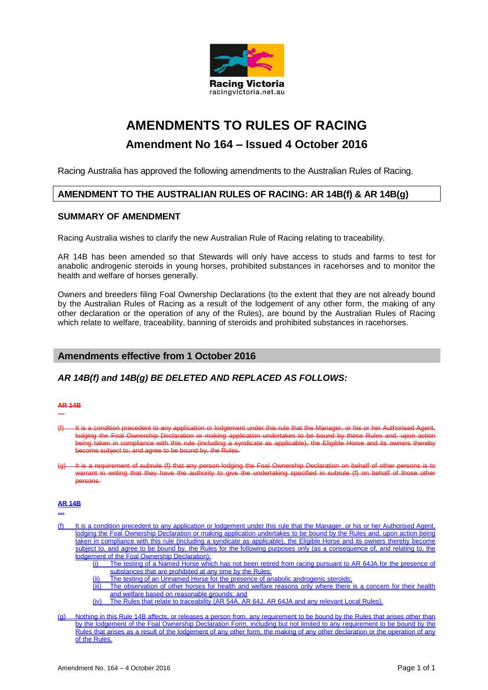

# **AMENDMENTS TO RULES OF RACING Amendment No 164 – Issued 4 October 2016**

Racing Australia has approved the following amendments to the Australian Rules of Racing.

# **AMENDMENT TO THE AUSTRALIAN RULES OF RACING: AR 14B(f) & AR 14B(g)**

#### **SUMMARY OF AMENDMENT**

Racing Australia wishes to clarify the new Australian Rule of Racing relating to traceability.

AR 14B has been amended so that Stewards will only have access to studs and farms to test for anabolic androgenic steroids in young horses, prohibited substances in racehorses and to monitor the health and welfare of horses generally.

Owners and breeders filing Foal Ownership Declarations (to the extent that they are not already bound by the Australian Rules of Racing as a result of the lodgement of any other form, the making of any other declaration or the operation of any of the Rules), are bound by the Australian Rules of Racing which relate to welfare, traceability, banning of steroids and prohibited substances in racehorses.

## **Amendments effective from 1 October 2016**

## *AR 14B(f) and 14B(g) BE DELETED AND REPLACED AS FOLLOWS:*

#### **AR 14B**

…

- a condition precedent to any application or lodgement under this rule that the Manager, or his or her Authoris lodging the Foal Ownership Declaration or making application undertakes to be bound by these Rules and, upon action<br>being taken in compliance with this rule (including a syndicate as applicable), the Eligible Horse and its being taken in compliance with this rule (including a syn become subject to, and agree to be bound by, the Rules.
- It is a requirement of subrule (f) that any person lodging the Foal Ownership Declaration on behalf of other warrant in writing that they have the authority to give the undertaking specified in subrule (f) on behalf of those other persons.

#### **AR 14B**

…

- (f) It is a condition precedent to any application or lodgement under this rule that the Manager, or his or her Authorised Agent, lodging the Foal Ownership Declaration or making application undertakes to be bound by the Rules and, upon action being taken in compliance with this rule (including a syndicate as applicable), the Eligible Horse and its owners thereby become subject to, and agree to be bound by, the Rules for the following purposes only (as a consequence of, and relating to, the lodgement of the Foal Ownership Declaration):
	- (i) The testing of a Named Horse which has not been retired from racing pursuant to AR 64JA for the presence of substances that are prohibited at any time by the Rules;
	- (ii) The testing of an Unnamed Horse for the presence of anabolic androgenic steroids;
	- (iii) The observation of other horses for health and welfare reasons only where there is a concern for their health and welfare based on reasonable grounds; and
	- (iv) The Rules that relate to traceability (AR 54A, AR 64J, AR 64JA and any relevant Local Rules).
- Nothing in this Rule 14B affects, or releases a person from, any requirement to be bound by the Rules that arises other than by the lodgement of the Foal Ownership Declaration Form, including but not limited to any requirement to be bound by the Rules that arises as a result of the lodgement of any other form, the making of any other declaration or the operation of any of the Rules.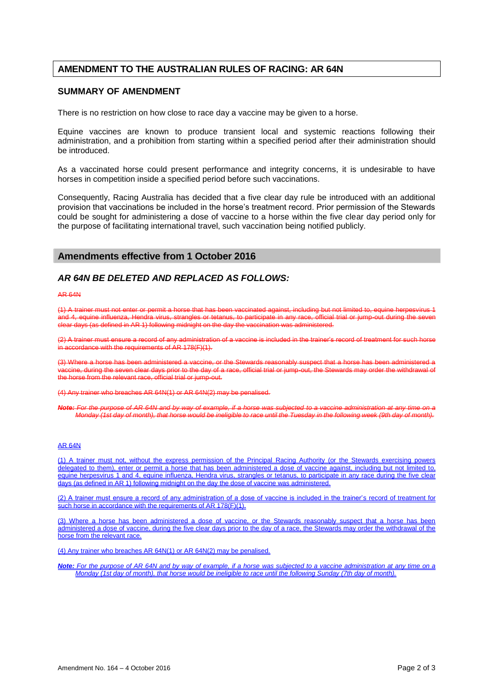# **AMENDMENT TO THE AUSTRALIAN RULES OF RACING: AR 64N**

#### **SUMMARY OF AMENDMENT**

There is no restriction on how close to race day a vaccine may be given to a horse.

Equine vaccines are known to produce transient local and systemic reactions following their administration, and a prohibition from starting within a specified period after their administration should be introduced.

As a vaccinated horse could present performance and integrity concerns, it is undesirable to have horses in competition inside a specified period before such vaccinations.

Consequently, Racing Australia has decided that a five clear day rule be introduced with an additional provision that vaccinations be included in the horse's treatment record. Prior permission of the Stewards could be sought for administering a dose of vaccine to a horse within the five clear day period only for the purpose of facilitating international travel, such vaccination being notified publicly.

#### **Amendments effective from 1 October 2016**

#### *AR 64N BE DELETED AND REPLACED AS FOLLOWS:*

AR 64N

(1) A trainer must not enter or permit a horse that has been vaccinated against, including but not limited to, and 4, equine influenza, Hendra virus, strangles or tetanus, to participate in any race, official trial or jump-out during the seven (as defined in AR 1) following midnight on the day the vace

(2) A trainer must ensure a record of any administration of a vaccine is included in the trainer's record of treatment for such horse  $\overline{\text{in}}$  accordance with the requirements of AR 178(F)(1).

(3) Where a horse has been administered a vaccine, or the Stewards reasonably suspect that a horse has been administered a accine, during the seven clear days prior to the day of a race, official trial or jump-out, the Stewards may order the withdrawal of<br>e borse from the relevant race, official trial or jump-out. the relevant relevant race, or i<br>the relationship of the relevant rate rate rate in the relevant rate of the relevant rate in the relevant rate

(4) Any trainer who breaches AR 64N(1) or AR 64N(2) may be penalised.

*Note: For the purpose of AR 64N and by way of example, if a horse was subjected to a vaccine administration at any time on a Monday (1st day of month), that horse would be ineligible to race until the Tuesday in the following week (9th day of month).*

#### AR 64N

A trainer must not, without the express permission of the Principal Racing Authority (or the Stewards exercising powers delegated to them), enter or permit a horse that has been administered a dose of vaccine against, including but not limited to, equine herpesvirus 1 and 4, equine influenza, Hendra virus, strangles or tetanus, to participate in any race during the five clear days (as defined in AR 1) following midnight on the day the dose of vaccine was administered.

(2) A trainer must ensure a record of any administration of a dose of vaccine is included in the trainer's record of treatment for such horse in accordance with the requirements of AR 178(F)(1).

(3) Where a horse has been administered a dose of vaccine, or the Stewards reasonably suspect that a horse has been administered a dose of vaccine, during the five clear days prior to the day of a race, the Stewards may order the withdrawal of the horse from the relevant race.

(4) Any trainer who breaches AR 64N(1) or AR 64N(2) may be penalised.

*Note: For the purpose of AR 64N and by way of example, if a horse was subjected to a vaccine administration at any time on a Monday (1st day of month), that horse would be ineligible to race until the following Sunday (7th day of month).*